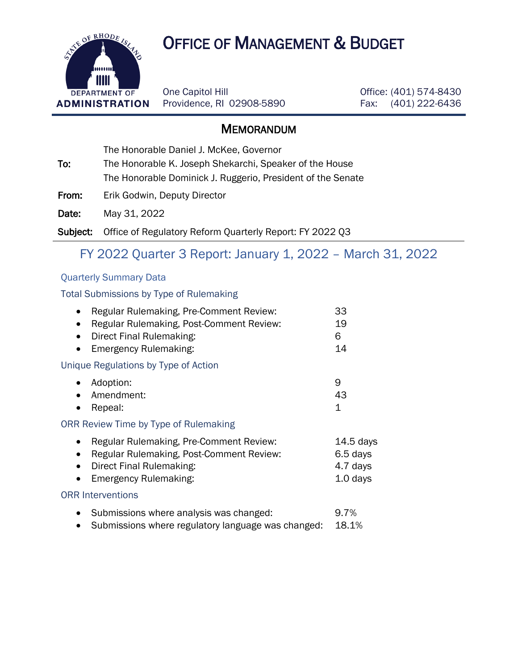# **OF RHODE AS A OFFICE OF MANAGEMENT & BUDGET**



One Capitol Hill Providence, RI 02908-5890 Office: (401) 574-8430 Fax: (401) 222-6436

### **MEMORANDUM**

The Honorable Daniel J. McKee, Governor

To: The Honorable K. Joseph Shekarchi, Speaker of the House The Honorable Dominick J. Ruggerio, President of the Senate

From: Erik Godwin, Deputy Director

Date: May 31, 2022

Subject: Office of Regulatory Reform Quarterly Report: FY 2022 Q3

## FY 2022 Quarter 3 Report: January 1, 2022 – March 31, 2022

#### Quarterly Summary Data

#### Total Submissions by Type of Rulemaking

| Regular Rulemaking, Pre-Comment Review:<br>Regular Rulemaking, Post-Comment Review:<br>Direct Final Rulemaking:<br>Emergency Rulemaking:                                        | 33<br>19<br>6<br>14                               |
|---------------------------------------------------------------------------------------------------------------------------------------------------------------------------------|---------------------------------------------------|
| Unique Regulations by Type of Action                                                                                                                                            |                                                   |
| Adoption:<br>Amendment:<br>Repeal:                                                                                                                                              | 9<br>43<br>$\mathbf 1$                            |
| ORR Review Time by Type of Rulemaking                                                                                                                                           |                                                   |
| Regular Rulemaking, Pre-Comment Review:<br>Regular Rulemaking, Post-Comment Review:<br>$\bullet$<br>Direct Final Rulemaking:<br>$\bullet$<br>Emergency Rulemaking:<br>$\bullet$ | $14.5$ days<br>6.5 days<br>4.7 days<br>$1.0$ days |
| <b>ORR Interventions</b>                                                                                                                                                        |                                                   |
| Submissions where analysis was changed:<br>$\bullet$<br>Submissions where regulatory language was changed:                                                                      | 9.7%<br>18.1%                                     |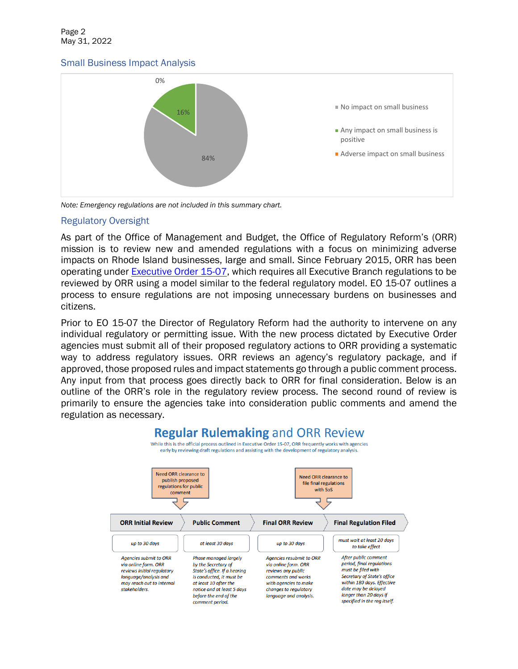#### Small Business Impact Analysis



*Note: Emergency regulations are not included in this summary chart.*

#### Regulatory Oversight

As part of the Office of Management and Budget, the Office of Regulatory Reform's (ORR) mission is to review new and amended regulations with a focus on minimizing adverse impacts on Rhode Island businesses, large and small. Since February 2015, ORR has been operating under [Executive Order 15-07,](http://www.omb.ri.gov/documents/reform/regulatory-review/07_Regulatory_Climate.pdf) which requires all Executive Branch regulations to be reviewed by ORR using a model similar to the federal regulatory model. EO 15-07 outlines a process to ensure regulations are not imposing unnecessary burdens on businesses and citizens.

Prior to EO 15-07 the Director of Regulatory Reform had the authority to intervene on any individual regulatory or permitting issue. With the new process dictated by Executive Order agencies must submit all of their proposed regulatory actions to ORR providing a systematic way to address regulatory issues. ORR reviews an agency's regulatory package, and if approved, those proposed rules and impact statements go through a public comment process. Any input from that process goes directly back to ORR for final consideration. Below is an outline of the ORR's role in the regulatory review process. The second round of review is primarily to ensure the agencies take into consideration public comments and amend the regulation as necessary.

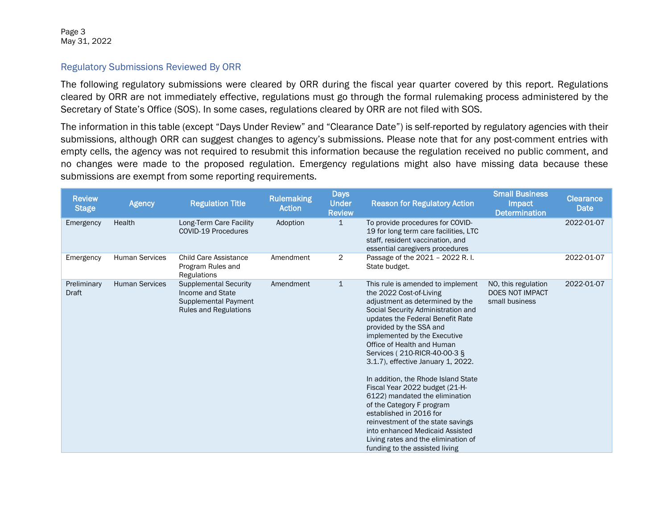Page 3 May 31, 2022

#### Regulatory Submissions Reviewed By ORR

The following regulatory submissions were cleared by ORR during the fiscal year quarter covered by this report. Regulations cleared by ORR are not immediately effective, regulations must go through the formal rulemaking process administered by the Secretary of State's Office (SOS). In some cases, regulations cleared by ORR are not filed with SOS.

The information in this table (except "Days Under Review" and "Clearance Date") is self-reported by regulatory agencies with their submissions, although ORR can suggest changes to agency's submissions. Please note that for any post-comment entries with empty cells, the agency was not required to resubmit this information because the regulation received no public comment, and no changes were made to the proposed regulation. Emergency regulations might also have missing data because these submissions are exempt from some reporting requirements.

| <b>Review</b><br><b>Stage</b> | <b>Agency</b>         | <b>Regulation Title</b>                                                                                         | <b>Rulemaking</b><br><b>Action</b> | <b>Days</b><br><b>Under</b><br><b>Review</b> | <b>Reason for Regulatory Action</b>                                                                                                                                                                                                                                                                                                                                                                                                                                                                                                                                                                                                                          | <b>Small Business</b><br>Impact<br><b>Determination</b>         | <b>Clearance</b><br><b>Date</b> |
|-------------------------------|-----------------------|-----------------------------------------------------------------------------------------------------------------|------------------------------------|----------------------------------------------|--------------------------------------------------------------------------------------------------------------------------------------------------------------------------------------------------------------------------------------------------------------------------------------------------------------------------------------------------------------------------------------------------------------------------------------------------------------------------------------------------------------------------------------------------------------------------------------------------------------------------------------------------------------|-----------------------------------------------------------------|---------------------------------|
| Emergency                     | Health                | Long-Term Care Facility<br>COVID-19 Procedures                                                                  | Adoption                           | $\mathbf{1}$                                 | To provide procedures for COVID-<br>19 for long term care facilities, LTC<br>staff, resident vaccination, and<br>essential caregivers procedures                                                                                                                                                                                                                                                                                                                                                                                                                                                                                                             |                                                                 | 2022-01-07                      |
| Emergency                     | <b>Human Services</b> | <b>Child Care Assistance</b><br>Program Rules and<br>Regulations                                                | Amendment                          | 2                                            | Passage of the 2021 - 2022 R.I.<br>State budget.                                                                                                                                                                                                                                                                                                                                                                                                                                                                                                                                                                                                             |                                                                 | 2022-01-07                      |
| Preliminary<br><b>Draft</b>   | <b>Human Services</b> | <b>Supplemental Security</b><br>Income and State<br><b>Supplemental Payment</b><br><b>Rules and Regulations</b> | Amendment                          | $\mathbf{1}$                                 | This rule is amended to implement<br>the 2022 Cost-of-Living<br>adjustment as determined by the<br>Social Security Administration and<br>updates the Federal Benefit Rate<br>provided by the SSA and<br>implemented by the Executive<br>Office of Health and Human<br>Services (210-RICR-40-00-3 §<br>3.1.7), effective January 1, 2022.<br>In addition, the Rhode Island State<br>Fiscal Year 2022 budget (21-H-<br>6122) mandated the elimination<br>of the Category F program<br>established in 2016 for<br>reinvestment of the state savings<br>into enhanced Medicaid Assisted<br>Living rates and the elimination of<br>funding to the assisted living | NO, this regulation<br><b>DOES NOT IMPACT</b><br>small business | 2022-01-07                      |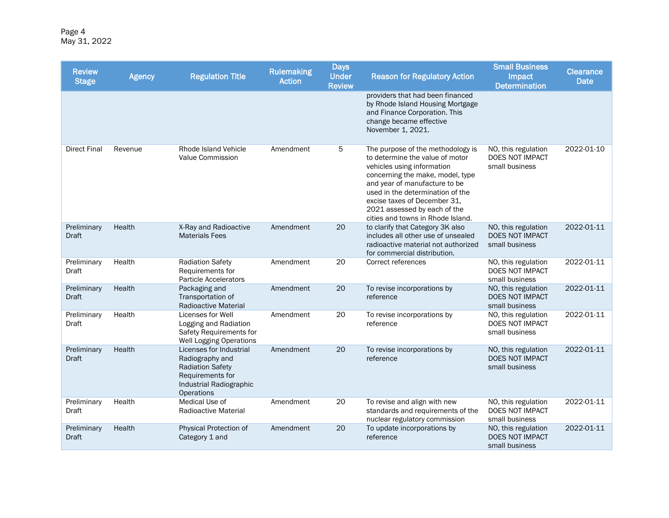Page 4 May 31, 2022

| <b>Review</b><br><b>Stage</b> | <b>Agency</b> | <b>Regulation Title</b>                                                                                                                   | <b>Rulemaking</b><br><b>Action</b> | <b>Days</b><br><b>Under</b><br><b>Review</b> | <b>Reason for Regulatory Action</b>                                                                                                                                                                                                                                                                              | <b>Small Business</b><br>Impact<br><b>Determination</b>         | <b>Clearance</b><br><b>Date</b> |
|-------------------------------|---------------|-------------------------------------------------------------------------------------------------------------------------------------------|------------------------------------|----------------------------------------------|------------------------------------------------------------------------------------------------------------------------------------------------------------------------------------------------------------------------------------------------------------------------------------------------------------------|-----------------------------------------------------------------|---------------------------------|
|                               |               |                                                                                                                                           |                                    |                                              | providers that had been financed<br>by Rhode Island Housing Mortgage<br>and Finance Corporation. This<br>change became effective<br>November 1, 2021.                                                                                                                                                            |                                                                 |                                 |
| <b>Direct Final</b>           | Revenue       | Rhode Island Vehicle<br><b>Value Commission</b>                                                                                           | Amendment                          | 5                                            | The purpose of the methodology is<br>to determine the value of motor<br>vehicles using information<br>concerning the make, model, type<br>and year of manufacture to be<br>used in the determination of the<br>excise taxes of December 31,<br>2021 assessed by each of the<br>cities and towns in Rhode Island. | NO, this regulation<br>DOES NOT IMPACT<br>small business        | 2022-01-10                      |
| Preliminary<br><b>Draft</b>   | Health        | X-Ray and Radioactive<br><b>Materials Fees</b>                                                                                            | Amendment                          | 20                                           | to clarify that Category 3K also<br>includes all other use of unsealed<br>radioactive material not authorized<br>for commercial distribution.                                                                                                                                                                    | NO, this regulation<br><b>DOES NOT IMPACT</b><br>small business | 2022-01-11                      |
| Preliminary<br>Draft          | Health        | <b>Radiation Safety</b><br>Requirements for<br><b>Particle Accelerators</b>                                                               | Amendment                          | 20                                           | Correct references                                                                                                                                                                                                                                                                                               | NO, this regulation<br>DOES NOT IMPACT<br>small business        | 2022-01-11                      |
| Preliminary<br><b>Draft</b>   | Health        | Packaging and<br>Transportation of<br><b>Radioactive Material</b>                                                                         | Amendment                          | 20                                           | To revise incorporations by<br>reference                                                                                                                                                                                                                                                                         | NO, this regulation<br>DOES NOT IMPACT<br>small business        | 2022-01-11                      |
| Preliminary<br>Draft          | Health        | Licenses for Well<br>Logging and Radiation<br>Safety Requirements for<br><b>Well Logging Operations</b>                                   | Amendment                          | 20                                           | To revise incorporations by<br>reference                                                                                                                                                                                                                                                                         | NO, this regulation<br>DOES NOT IMPACT<br>small business        | 2022-01-11                      |
| Preliminary<br><b>Draft</b>   | Health        | Licenses for Industrial<br>Radiography and<br><b>Radiation Safety</b><br>Requirements for<br>Industrial Radiographic<br><b>Operations</b> | Amendment                          | 20                                           | To revise incorporations by<br>reference                                                                                                                                                                                                                                                                         | NO, this regulation<br>DOES NOT IMPACT<br>small business        | 2022-01-11                      |
| Preliminary<br>Draft          | Health        | Medical Use of<br>Radioactive Material                                                                                                    | Amendment                          | 20                                           | To revise and align with new<br>standards and requirements of the<br>nuclear regulatory commission                                                                                                                                                                                                               | NO, this regulation<br>DOES NOT IMPACT<br>small business        | 2022-01-11                      |
| Preliminary<br><b>Draft</b>   | Health        | Physical Protection of<br>Category 1 and                                                                                                  | Amendment                          | 20                                           | To update incorporations by<br>reference                                                                                                                                                                                                                                                                         | NO, this regulation<br>DOES NOT IMPACT<br>small business        | 2022-01-11                      |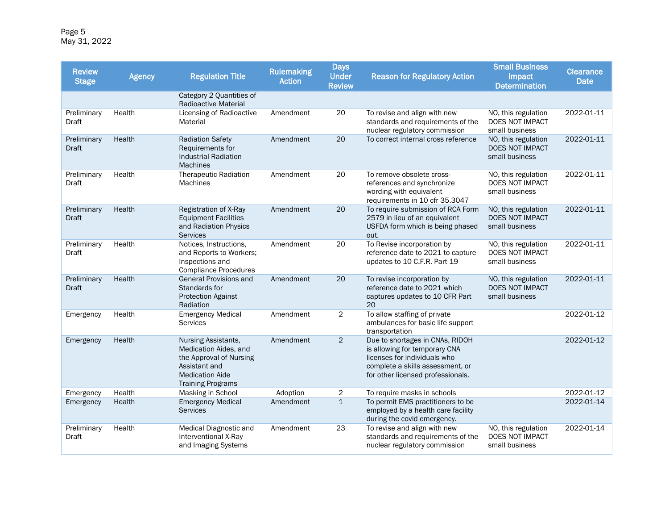Page 5 May 31, 2022

| <b>Review</b><br><b>Stage</b> | <b>Agency</b> | <b>Regulation Title</b>                                                                                                                        | <b>Rulemaking</b><br><b>Action</b> | <b>Days</b><br><b>Under</b><br><b>Review</b> | <b>Reason for Regulatory Action</b>                                                                                                                                       | <b>Small Business</b><br>Impact<br><b>Determination</b>         | <b>Clearance</b><br><b>Date</b> |
|-------------------------------|---------------|------------------------------------------------------------------------------------------------------------------------------------------------|------------------------------------|----------------------------------------------|---------------------------------------------------------------------------------------------------------------------------------------------------------------------------|-----------------------------------------------------------------|---------------------------------|
|                               |               | Category 2 Quantities of<br><b>Radioactive Material</b>                                                                                        |                                    |                                              |                                                                                                                                                                           |                                                                 |                                 |
| Preliminary<br>Draft          | Health        | <b>Licensing of Radioactive</b><br>Material                                                                                                    | Amendment                          | 20                                           | To revise and align with new<br>standards and requirements of the<br>nuclear regulatory commission                                                                        | NO, this regulation<br>DOES NOT IMPACT<br>small business        | 2022-01-11                      |
| Preliminary<br><b>Draft</b>   | Health        | <b>Radiation Safety</b><br>Requirements for<br><b>Industrial Radiation</b><br><b>Machines</b>                                                  | Amendment                          | 20                                           | To correct internal cross reference                                                                                                                                       | NO, this regulation<br>DOES NOT IMPACT<br>small business        | 2022-01-11                      |
| Preliminary<br>Draft          | Health        | <b>Therapeutic Radiation</b><br><b>Machines</b>                                                                                                | Amendment                          | 20                                           | To remove obsolete cross-<br>references and synchronize<br>wording with equivalent<br>requirements in 10 cfr 35.3047                                                      | NO, this regulation<br>DOES NOT IMPACT<br>small business        | 2022-01-11                      |
| Preliminary<br><b>Draft</b>   | Health        | Registration of X-Ray<br><b>Equipment Facilities</b><br>and Radiation Physics<br><b>Services</b>                                               | Amendment                          | 20                                           | To require submission of RCA Form<br>2579 in lieu of an equivalent<br>USFDA form which is being phased<br>out.                                                            | NO, this regulation<br>DOES NOT IMPACT<br>small business        | 2022-01-11                      |
| Preliminary<br>Draft          | Health        | Notices, Instructions,<br>and Reports to Workers;<br>Inspections and<br><b>Compliance Procedures</b>                                           | Amendment                          | 20                                           | To Revise incorporation by<br>reference date to 2021 to capture<br>updates to 10 C.F.R. Part 19                                                                           | NO, this regulation<br>DOES NOT IMPACT<br>small business        | 2022-01-11                      |
| Preliminary<br><b>Draft</b>   | Health        | <b>General Provisions and</b><br>Standards for<br><b>Protection Against</b><br>Radiation                                                       | Amendment                          | 20                                           | To revise incorporation by<br>reference date to 2021 which<br>captures updates to 10 CFR Part<br>20                                                                       | NO, this regulation<br><b>DOES NOT IMPACT</b><br>small business | 2022-01-11                      |
| Emergency                     | Health        | <b>Emergency Medical</b><br><b>Services</b>                                                                                                    | Amendment                          | $\overline{2}$                               | To allow staffing of private<br>ambulances for basic life support<br>transportation                                                                                       |                                                                 | 2022-01-12                      |
| Emergency                     | Health        | Nursing Assistants,<br>Medication Aides, and<br>the Approval of Nursing<br>Assistant and<br><b>Medication Aide</b><br><b>Training Programs</b> | Amendment                          | $\overline{2}$                               | Due to shortages in CNAs, RIDOH<br>is allowing for temporary CNA<br>licenses for individuals who<br>complete a skills assessment, or<br>for other licensed professionals. |                                                                 | 2022-01-12                      |
| Emergency                     | Health        | Masking in School                                                                                                                              | Adoption                           | 2                                            | To require masks in schools                                                                                                                                               |                                                                 | 2022-01-12                      |
| Emergency                     | Health        | <b>Emergency Medical</b><br><b>Services</b>                                                                                                    | Amendment                          | $\mathbf{1}$                                 | To permit EMS practitioners to be<br>employed by a health care facility<br>during the covid emergency.                                                                    |                                                                 | 2022-01-14                      |
| Preliminary<br><b>Draft</b>   | Health        | Medical Diagnostic and<br>Interventional X-Ray<br>and Imaging Systems                                                                          | Amendment                          | 23                                           | To revise and align with new<br>standards and requirements of the<br>nuclear regulatory commission                                                                        | NO, this regulation<br>DOES NOT IMPACT<br>small business        | 2022-01-14                      |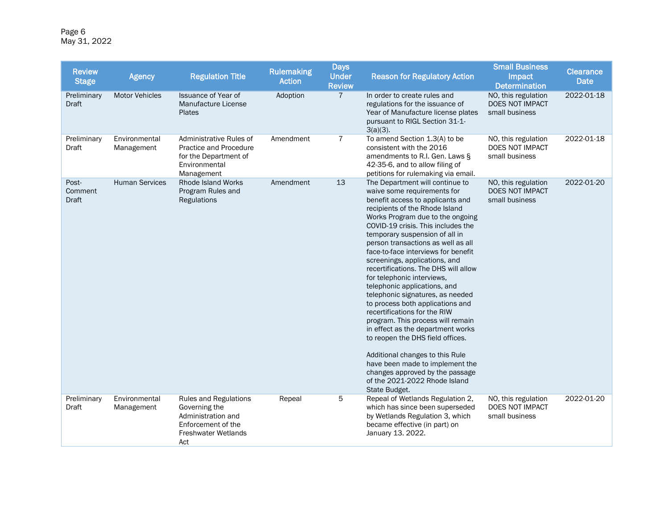Page 6 May 31, 2022

| <b>Review</b><br><b>Stage</b>    | <b>Agency</b>               | <b>Regulation Title</b>                                                                                                        | <b>Rulemaking</b><br><b>Action</b> | <b>Days</b><br><b>Under</b><br><b>Review</b> | <b>Reason for Regulatory Action</b>                                                                                                                                                                                                                                                                                                                                                                                                                                                                                                                                                                                                                                                                                                                                                                                                                   | <b>Small Business</b><br>Impact<br><b>Determination</b>  | <b>Clearance</b><br><b>Date</b> |
|----------------------------------|-----------------------------|--------------------------------------------------------------------------------------------------------------------------------|------------------------------------|----------------------------------------------|-------------------------------------------------------------------------------------------------------------------------------------------------------------------------------------------------------------------------------------------------------------------------------------------------------------------------------------------------------------------------------------------------------------------------------------------------------------------------------------------------------------------------------------------------------------------------------------------------------------------------------------------------------------------------------------------------------------------------------------------------------------------------------------------------------------------------------------------------------|----------------------------------------------------------|---------------------------------|
| Preliminary<br>Draft             | <b>Motor Vehicles</b>       | <b>Issuance of Year of</b><br>Manufacture License<br><b>Plates</b>                                                             | Adoption                           | $\overline{7}$                               | In order to create rules and<br>regulations for the issuance of<br>Year of Manufacture license plates<br>pursuant to RIGL Section 31-1-<br>$3(a)(3)$ .                                                                                                                                                                                                                                                                                                                                                                                                                                                                                                                                                                                                                                                                                                | NO, this regulation<br>DOES NOT IMPACT<br>small business | 2022-01-18                      |
| Preliminary<br>Draft             | Environmental<br>Management | Administrative Rules of<br>Practice and Procedure<br>for the Department of<br>Environmental<br>Management                      | Amendment                          | $\overline{7}$                               | To amend Section 1.3(A) to be<br>consistent with the 2016<br>amendments to R.I. Gen. Laws §<br>42-35-6, and to allow filing of<br>petitions for rulemaking via email.                                                                                                                                                                                                                                                                                                                                                                                                                                                                                                                                                                                                                                                                                 | NO, this regulation<br>DOES NOT IMPACT<br>small business | 2022-01-18                      |
| Post-<br>Comment<br><b>Draft</b> | <b>Human Services</b>       | <b>Rhode Island Works</b><br>Program Rules and<br>Regulations                                                                  | Amendment                          | 13                                           | The Department will continue to<br>waive some requirements for<br>benefit access to applicants and<br>recipients of the Rhode Island<br>Works Program due to the ongoing<br>COVID-19 crisis. This includes the<br>temporary suspension of all in<br>person transactions as well as all<br>face-to-face interviews for benefit<br>screenings, applications, and<br>recertifications. The DHS will allow<br>for telephonic interviews,<br>telephonic applications, and<br>telephonic signatures, as needed<br>to process both applications and<br>recertifications for the RIW<br>program. This process will remain<br>in effect as the department works<br>to reopen the DHS field offices.<br>Additional changes to this Rule<br>have been made to implement the<br>changes approved by the passage<br>of the 2021-2022 Rhode Island<br>State Budget. | NO, this regulation<br>DOES NOT IMPACT<br>small business | 2022-01-20                      |
| Preliminary<br>Draft             | Environmental<br>Management | <b>Rules and Regulations</b><br>Governing the<br>Administration and<br>Enforcement of the<br><b>Freshwater Wetlands</b><br>Act | Repeal                             | 5                                            | Repeal of Wetlands Regulation 2,<br>which has since been superseded<br>by Wetlands Regulation 3, which<br>became effective (in part) on<br>January 13. 2022.                                                                                                                                                                                                                                                                                                                                                                                                                                                                                                                                                                                                                                                                                          | NO, this regulation<br>DOES NOT IMPACT<br>small business | 2022-01-20                      |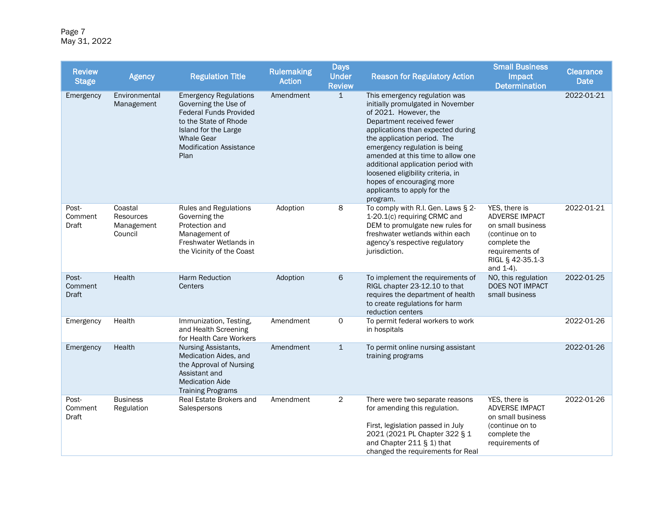Page 7 May 31, 2022

| <b>Review</b><br><b>Stage</b>    | <b>Agency</b>                                        | <b>Regulation Title</b>                                                                                                                                                                               | <b>Rulemaking</b><br><b>Action</b> | <b>Days</b><br><b>Under</b><br><b>Review</b> | <b>Reason for Regulatory Action</b>                                                                                                                                                                                                                                                                                                                                                                                   | <b>Small Business</b><br>Impact<br><b>Determination</b>                                                                                            | <b>Clearance</b><br><b>Date</b> |
|----------------------------------|------------------------------------------------------|-------------------------------------------------------------------------------------------------------------------------------------------------------------------------------------------------------|------------------------------------|----------------------------------------------|-----------------------------------------------------------------------------------------------------------------------------------------------------------------------------------------------------------------------------------------------------------------------------------------------------------------------------------------------------------------------------------------------------------------------|----------------------------------------------------------------------------------------------------------------------------------------------------|---------------------------------|
| Emergency                        | Environmental<br>Management                          | <b>Emergency Regulations</b><br>Governing the Use of<br><b>Federal Funds Provided</b><br>to the State of Rhode<br>Island for the Large<br><b>Whale Gear</b><br><b>Modification Assistance</b><br>Plan | Amendment                          | $\mathbf{1}$                                 | This emergency regulation was<br>initially promulgated in November<br>of 2021. However, the<br>Department received fewer<br>applications than expected during<br>the application period. The<br>emergency regulation is being<br>amended at this time to allow one<br>additional application period with<br>loosened eligibility criteria, in<br>hopes of encouraging more<br>applicants to apply for the<br>program. |                                                                                                                                                    | 2022-01-21                      |
| Post-<br>Comment<br>Draft        | Coastal<br><b>Resources</b><br>Management<br>Council | <b>Rules and Regulations</b><br>Governing the<br>Protection and<br>Management of<br>Freshwater Wetlands in<br>the Vicinity of the Coast                                                               | Adoption                           | 8                                            | To comply with R.I. Gen. Laws § 2-<br>1-20.1(c) requiring CRMC and<br>DEM to promulgate new rules for<br>freshwater wetlands within each<br>agency's respective regulatory<br>jurisdiction.                                                                                                                                                                                                                           | YES, there is<br><b>ADVERSE IMPACT</b><br>on small business<br>(continue on to<br>complete the<br>requirements of<br>RIGL § 42-35.1-3<br>and 1-4). | 2022-01-21                      |
| Post-<br>Comment<br><b>Draft</b> | Health                                               | <b>Harm Reduction</b><br>Centers                                                                                                                                                                      | Adoption                           | 6                                            | To implement the requirements of<br>RIGL chapter 23-12.10 to that<br>requires the department of health<br>to create regulations for harm<br>reduction centers                                                                                                                                                                                                                                                         | NO, this regulation<br>DOES NOT IMPACT<br>small business                                                                                           | 2022-01-25                      |
| Emergency                        | Health                                               | Immunization, Testing,<br>and Health Screening<br>for Health Care Workers                                                                                                                             | Amendment                          | 0                                            | To permit federal workers to work<br>in hospitals                                                                                                                                                                                                                                                                                                                                                                     |                                                                                                                                                    | 2022-01-26                      |
| Emergency                        | Health                                               | <b>Nursing Assistants,</b><br>Medication Aides, and<br>the Approval of Nursing<br>Assistant and<br><b>Medication Aide</b><br><b>Training Programs</b>                                                 | Amendment                          | $\mathbf{1}$                                 | To permit online nursing assistant<br>training programs                                                                                                                                                                                                                                                                                                                                                               |                                                                                                                                                    | 2022-01-26                      |
| Post-<br>Comment<br>Draft        | <b>Business</b><br>Regulation                        | Real Estate Brokers and<br>Salespersons                                                                                                                                                               | Amendment                          | $\overline{2}$                               | There were two separate reasons<br>for amending this regulation.<br>First, legislation passed in July<br>2021 (2021 PL Chapter 322 § 1<br>and Chapter 211 § 1) that<br>changed the requirements for Real                                                                                                                                                                                                              | YES, there is<br><b>ADVERSE IMPACT</b><br>on small business<br>(continue on to<br>complete the<br>requirements of                                  | 2022-01-26                      |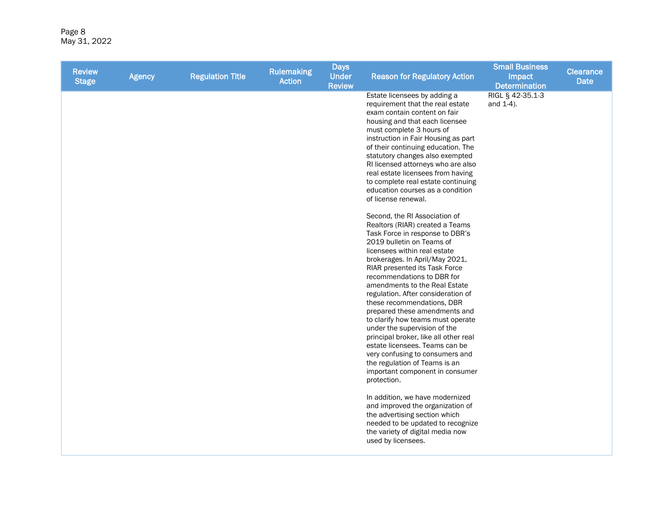Page 8 May 31, 2022

| <b>Review</b><br><b>Stage</b> | <b>Agency</b> | <b>Regulation Title</b> | <b>Rulemaking</b><br><b>Action</b> | <b>Days</b><br><b>Under</b><br><b>Review</b> | <b>Reason for Regulatory Action</b>                                                                                                                                                                                                                                                                                                                                                                                                                                                                                                                                                                                                                                                                                                                                                                                                                                                                                                                                                                                                                                                                                                                                                                                                                                                                                                                | <b>Small Business</b><br>Impact<br><b>Determination</b> | <b>Clearance</b><br><b>Date</b> |
|-------------------------------|---------------|-------------------------|------------------------------------|----------------------------------------------|----------------------------------------------------------------------------------------------------------------------------------------------------------------------------------------------------------------------------------------------------------------------------------------------------------------------------------------------------------------------------------------------------------------------------------------------------------------------------------------------------------------------------------------------------------------------------------------------------------------------------------------------------------------------------------------------------------------------------------------------------------------------------------------------------------------------------------------------------------------------------------------------------------------------------------------------------------------------------------------------------------------------------------------------------------------------------------------------------------------------------------------------------------------------------------------------------------------------------------------------------------------------------------------------------------------------------------------------------|---------------------------------------------------------|---------------------------------|
|                               |               |                         |                                    |                                              | Estate licensees by adding a<br>requirement that the real estate<br>exam contain content on fair<br>housing and that each licensee<br>must complete 3 hours of<br>instruction in Fair Housing as part<br>of their continuing education. The<br>statutory changes also exempted<br>RI licensed attorneys who are also<br>real estate licensees from having<br>to complete real estate continuing<br>education courses as a condition<br>of license renewal.<br>Second, the RI Association of<br>Realtors (RIAR) created a Teams<br>Task Force in response to DBR's<br>2019 bulletin on Teams of<br>licensees within real estate<br>brokerages. In April/May 2021,<br>RIAR presented its Task Force<br>recommendations to DBR for<br>amendments to the Real Estate<br>regulation. After consideration of<br>these recommendations, DBR<br>prepared these amendments and<br>to clarify how teams must operate<br>under the supervision of the<br>principal broker, like all other real<br>estate licensees. Teams can be<br>very confusing to consumers and<br>the regulation of Teams is an<br>important component in consumer<br>protection.<br>In addition, we have modernized<br>and improved the organization of<br>the advertising section which<br>needed to be updated to recognize<br>the variety of digital media now<br>used by licensees. | RIGL § 42-35.1-3<br>and 1-4).                           |                                 |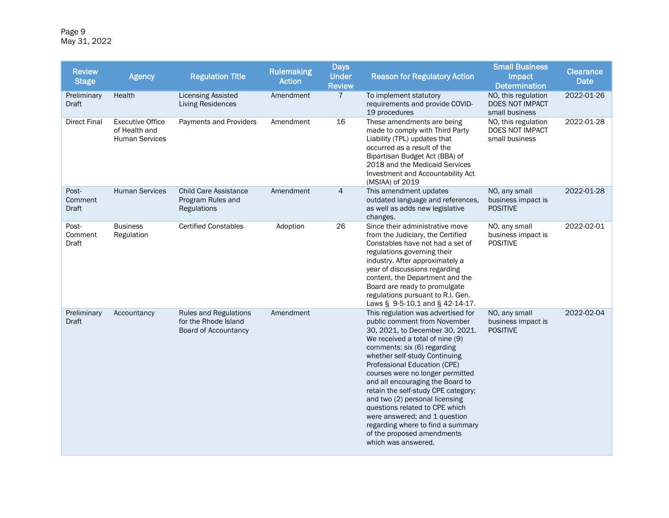Page 9 May 31, 2022

| <b>Review</b><br><b>Stage</b> | <b>Agency</b>                                                     | <b>Regulation Title</b>                                                      | <b>Rulemaking</b><br><b>Action</b> | <b>Days</b><br><b>Under</b><br><b>Review</b> | <b>Reason for Regulatory Action</b>                                                                                                                                                                                                                                                                                                                                                                                                                                                                                                                    | <b>Small Business</b><br><b>Impact</b><br><b>Determination</b> | <b>Clearance</b><br><b>Date</b> |
|-------------------------------|-------------------------------------------------------------------|------------------------------------------------------------------------------|------------------------------------|----------------------------------------------|--------------------------------------------------------------------------------------------------------------------------------------------------------------------------------------------------------------------------------------------------------------------------------------------------------------------------------------------------------------------------------------------------------------------------------------------------------------------------------------------------------------------------------------------------------|----------------------------------------------------------------|---------------------------------|
| Preliminary<br>Draft          | Health                                                            | <b>Licensing Assisted</b><br><b>Living Residences</b>                        | Amendment                          | $\overline{7}$                               | To implement statutory<br>requirements and provide COVID-<br>19 procedures                                                                                                                                                                                                                                                                                                                                                                                                                                                                             | NO, this regulation<br>DOES NOT IMPACT<br>small business       | 2022-01-26                      |
| <b>Direct Final</b>           | <b>Executive Office</b><br>of Health and<br><b>Human Services</b> | Payments and Providers                                                       | Amendment                          | 16                                           | These amendments are being<br>made to comply with Third Party<br>Liability (TPL) updates that<br>occurred as a result of the<br>Bipartisan Budget Act (BBA) of<br>2018 and the Medicaid Services<br>Investment and Accountability Act<br>(MSIAA) of 2019                                                                                                                                                                                                                                                                                               | NO, this regulation<br>DOES NOT IMPACT<br>small business       | 2022-01-28                      |
| Post-<br>Comment<br>Draft     | <b>Human Services</b>                                             | <b>Child Care Assistance</b><br>Program Rules and<br>Regulations             | Amendment                          | $\overline{4}$                               | This amendment updates<br>outdated language and references,<br>as well as adds new legislative<br>changes.                                                                                                                                                                                                                                                                                                                                                                                                                                             | NO, any small<br>business impact is<br><b>POSITIVE</b>         | 2022-01-28                      |
| Post-<br>Comment<br>Draft     | <b>Business</b><br>Regulation                                     | <b>Certified Constables</b>                                                  | Adoption                           | 26                                           | Since their administrative move<br>from the Judiciary, the Certified<br>Constables have not had a set of<br>regulations governing their<br>industry. After approximately a<br>year of discussions regarding<br>content, the Department and the<br>Board are ready to promulgate<br>regulations pursuant to R.I. Gen.<br>Laws § 9-5-10.1 and § 42-14-17.                                                                                                                                                                                                | NO, any small<br>business impact is<br><b>POSITIVE</b>         | 2022-02-01                      |
| Preliminary<br><b>Draft</b>   | Accountancy                                                       | <b>Rules and Regulations</b><br>for the Rhode Island<br>Board of Accountancy | Amendment                          |                                              | This regulation was advertised for<br>public comment from November<br>30, 2021, to December 30, 2021.<br>We received a total of nine (9)<br>comments: six (6) regarding<br>whether self-study Continuing<br>Professional Education (CPE)<br>courses were no longer permitted<br>and all encouraging the Board to<br>retain the self-study CPE category;<br>and two (2) personal licensing<br>questions related to CPE which<br>were answered; and 1 question<br>regarding where to find a summary<br>of the proposed amendments<br>which was answered. | NO, any small<br>business impact is<br><b>POSITIVE</b>         | 2022-02-04                      |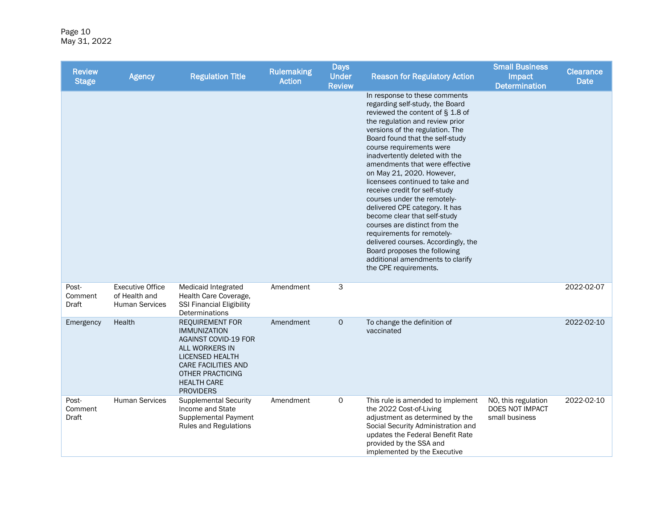Page 10 May 31, 2022

| <b>Review</b><br><b>Stage</b> | <b>Agency</b>                                                     | <b>Regulation Title</b>                                                                                                                                                                                                     | <b>Rulemaking</b><br><b>Action</b> | <b>Days</b><br><b>Under</b><br><b>Review</b> | <b>Reason for Regulatory Action</b>                                                                                                                                                                                                                                                                                                                                                                                                                                                                                                                                                                                                                                                                                | <b>Small Business</b><br>Impact<br><b>Determination</b>  | <b>Clearance</b><br><b>Date</b> |
|-------------------------------|-------------------------------------------------------------------|-----------------------------------------------------------------------------------------------------------------------------------------------------------------------------------------------------------------------------|------------------------------------|----------------------------------------------|--------------------------------------------------------------------------------------------------------------------------------------------------------------------------------------------------------------------------------------------------------------------------------------------------------------------------------------------------------------------------------------------------------------------------------------------------------------------------------------------------------------------------------------------------------------------------------------------------------------------------------------------------------------------------------------------------------------------|----------------------------------------------------------|---------------------------------|
|                               |                                                                   |                                                                                                                                                                                                                             |                                    |                                              | In response to these comments<br>regarding self-study, the Board<br>reviewed the content of § 1.8 of<br>the regulation and review prior<br>versions of the regulation. The<br>Board found that the self-study<br>course requirements were<br>inadvertently deleted with the<br>amendments that were effective<br>on May 21, 2020. However,<br>licensees continued to take and<br>receive credit for self-study<br>courses under the remotely-<br>delivered CPE category. It has<br>become clear that self-study<br>courses are distinct from the<br>requirements for remotely-<br>delivered courses. Accordingly, the<br>Board proposes the following<br>additional amendments to clarify<br>the CPE requirements. |                                                          |                                 |
| Post-<br>Comment<br>Draft     | <b>Executive Office</b><br>of Health and<br><b>Human Services</b> | Medicaid Integrated<br>Health Care Coverage,<br><b>SSI Financial Eligibility</b><br>Determinations                                                                                                                          | Amendment                          | 3                                            |                                                                                                                                                                                                                                                                                                                                                                                                                                                                                                                                                                                                                                                                                                                    |                                                          | 2022-02-07                      |
| Emergency                     | Health                                                            | <b>REQUIREMENT FOR</b><br><b>IMMUNIZATION</b><br><b>AGAINST COVID-19 FOR</b><br>ALL WORKERS IN<br><b>LICENSED HEALTH</b><br><b>CARE FACILITIES AND</b><br><b>OTHER PRACTICING</b><br><b>HEALTH CARE</b><br><b>PROVIDERS</b> | Amendment                          | $\mathbf{O}$                                 | To change the definition of<br>vaccinated                                                                                                                                                                                                                                                                                                                                                                                                                                                                                                                                                                                                                                                                          |                                                          | 2022-02-10                      |
| Post-<br>Comment<br>Draft     | <b>Human Services</b>                                             | <b>Supplemental Security</b><br>Income and State<br><b>Supplemental Payment</b><br><b>Rules and Regulations</b>                                                                                                             | Amendment                          | $\mathsf{O}$                                 | This rule is amended to implement<br>the 2022 Cost-of-Living<br>adjustment as determined by the<br>Social Security Administration and<br>updates the Federal Benefit Rate<br>provided by the SSA and<br>implemented by the Executive                                                                                                                                                                                                                                                                                                                                                                                                                                                                               | NO, this regulation<br>DOES NOT IMPACT<br>small business | 2022-02-10                      |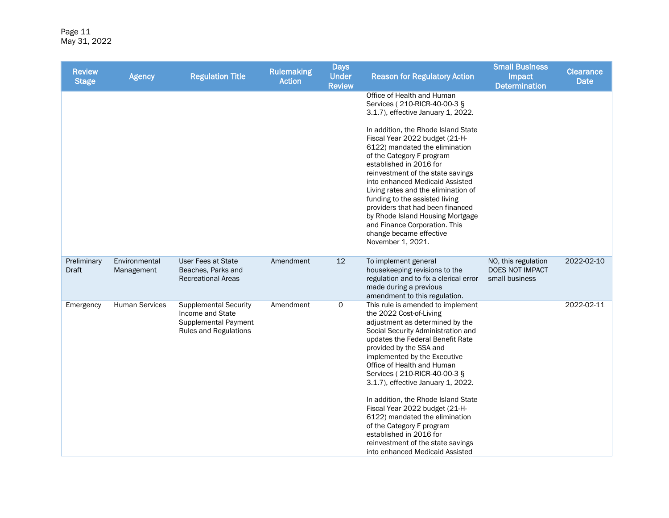| <b>Review</b><br><b>Stage</b> | <b>Agency</b>               | <b>Regulation Title</b>                                                                           | <b>Rulemaking</b><br><b>Action</b> | <b>Days</b><br><b>Under</b><br><b>Review</b> | <b>Reason for Regulatory Action</b>                                                                                                                                                                                                                                                                                                                                                                                                                                                                                                                                                 | <b>Small Business</b><br>Impact<br><b>Determination</b>  | <b>Clearance</b><br>Date |
|-------------------------------|-----------------------------|---------------------------------------------------------------------------------------------------|------------------------------------|----------------------------------------------|-------------------------------------------------------------------------------------------------------------------------------------------------------------------------------------------------------------------------------------------------------------------------------------------------------------------------------------------------------------------------------------------------------------------------------------------------------------------------------------------------------------------------------------------------------------------------------------|----------------------------------------------------------|--------------------------|
|                               |                             |                                                                                                   |                                    |                                              | Office of Health and Human<br>Services (210-RICR-40-00-3 §<br>3.1.7), effective January 1, 2022.<br>In addition, the Rhode Island State<br>Fiscal Year 2022 budget (21-H-<br>6122) mandated the elimination<br>of the Category F program<br>established in 2016 for<br>reinvestment of the state savings<br>into enhanced Medicaid Assisted<br>Living rates and the elimination of<br>funding to the assisted living<br>providers that had been financed<br>by Rhode Island Housing Mortgage<br>and Finance Corporation. This<br>change became effective                            |                                                          |                          |
|                               |                             |                                                                                                   |                                    |                                              | November 1, 2021.                                                                                                                                                                                                                                                                                                                                                                                                                                                                                                                                                                   |                                                          |                          |
| Preliminary<br>Draft          | Environmental<br>Management | <b>User Fees at State</b><br>Beaches, Parks and<br><b>Recreational Areas</b>                      | Amendment                          | 12                                           | To implement general<br>housekeeping revisions to the<br>regulation and to fix a clerical error<br>made during a previous<br>amendment to this regulation.                                                                                                                                                                                                                                                                                                                                                                                                                          | NO, this regulation<br>DOES NOT IMPACT<br>small business | 2022-02-10               |
| Emergency                     | <b>Human Services</b>       | <b>Supplemental Security</b><br>Income and State<br>Supplemental Payment<br>Rules and Regulations | Amendment                          | 0                                            | This rule is amended to implement<br>the 2022 Cost-of-Living<br>adjustment as determined by the<br>Social Security Administration and<br>updates the Federal Benefit Rate<br>provided by the SSA and<br>implemented by the Executive<br>Office of Health and Human<br>Services (210-RICR-40-00-3 §<br>3.1.7), effective January 1, 2022.<br>In addition, the Rhode Island State<br>Fiscal Year 2022 budget (21-H-<br>6122) mandated the elimination<br>of the Category F program<br>established in 2016 for<br>reinvestment of the state savings<br>into enhanced Medicaid Assisted |                                                          | 2022-02-11               |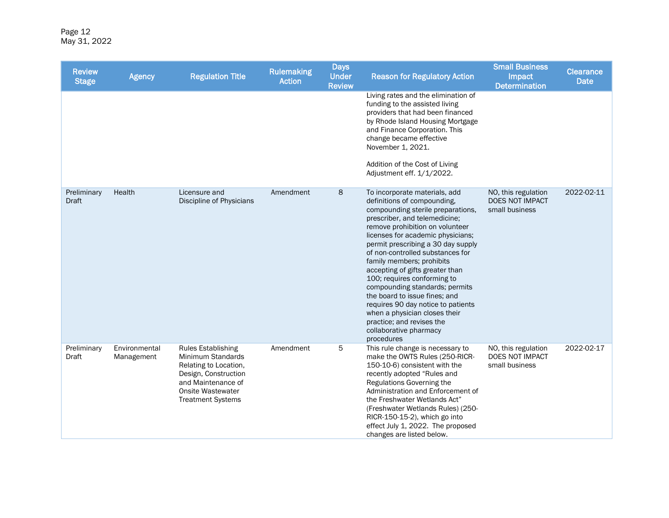| <b>Review</b><br><b>Stage</b> | <b>Agency</b>               | <b>Regulation Title</b>                                                                                                                                                       | <b>Rulemaking</b><br><b>Action</b> | <b>Days</b><br><b>Under</b><br><b>Review</b> | <b>Reason for Regulatory Action</b>                                                                                                                                                                                                                                                                                                                                                                                                                                                                                                                                                                | <b>Small Business</b><br>Impact<br><b>Determination</b>  | <b>Clearance</b><br><b>Date</b> |
|-------------------------------|-----------------------------|-------------------------------------------------------------------------------------------------------------------------------------------------------------------------------|------------------------------------|----------------------------------------------|----------------------------------------------------------------------------------------------------------------------------------------------------------------------------------------------------------------------------------------------------------------------------------------------------------------------------------------------------------------------------------------------------------------------------------------------------------------------------------------------------------------------------------------------------------------------------------------------------|----------------------------------------------------------|---------------------------------|
|                               |                             |                                                                                                                                                                               |                                    |                                              | Living rates and the elimination of<br>funding to the assisted living<br>providers that had been financed<br>by Rhode Island Housing Mortgage<br>and Finance Corporation. This<br>change became effective<br>November 1, 2021.<br>Addition of the Cost of Living<br>Adjustment eff. 1/1/2022.                                                                                                                                                                                                                                                                                                      |                                                          |                                 |
| Preliminary<br><b>Draft</b>   | Health                      | Licensure and<br>Discipline of Physicians                                                                                                                                     | Amendment                          | 8                                            | To incorporate materials, add<br>definitions of compounding,<br>compounding sterile preparations,<br>prescriber, and telemedicine;<br>remove prohibition on volunteer<br>licenses for academic physicians;<br>permit prescribing a 30 day supply<br>of non-controlled substances for<br>family members; prohibits<br>accepting of gifts greater than<br>100; requires conforming to<br>compounding standards; permits<br>the board to issue fines; and<br>requires 90 day notice to patients<br>when a physician closes their<br>practice; and revises the<br>collaborative pharmacy<br>procedures | NO, this regulation<br>DOES NOT IMPACT<br>small business | 2022-02-11                      |
| Preliminary<br>Draft          | Environmental<br>Management | <b>Rules Establishing</b><br>Minimum Standards<br>Relating to Location,<br>Design, Construction<br>and Maintenance of<br><b>Onsite Wastewater</b><br><b>Treatment Systems</b> | Amendment                          | 5                                            | This rule change is necessary to<br>make the OWTS Rules (250-RICR-<br>150-10-6) consistent with the<br>recently adopted "Rules and<br>Regulations Governing the<br>Administration and Enforcement of<br>the Freshwater Wetlands Act"<br>(Freshwater Wetlands Rules) (250-<br>RICR-150-15-2), which go into<br>effect July 1, 2022. The proposed<br>changes are listed below.                                                                                                                                                                                                                       | NO, this regulation<br>DOES NOT IMPACT<br>small business | 2022-02-17                      |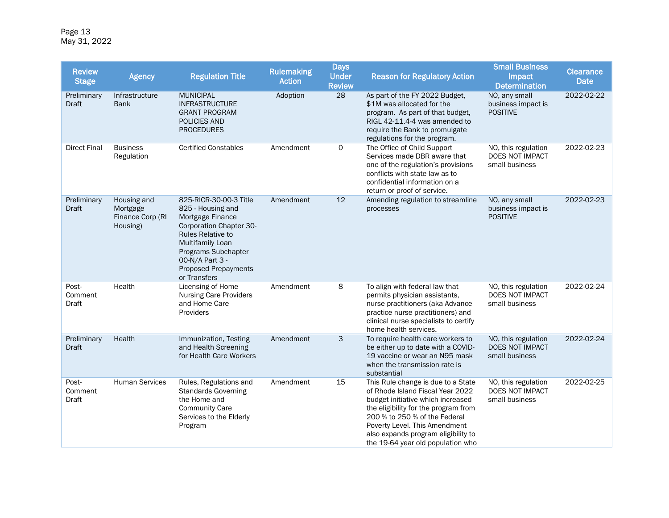Page 13 May 31, 2022

| <b>Review</b><br><b>Stage</b>    | <b>Agency</b>                                           | <b>Regulation Title</b>                                                                                                                                                                                                             | <b>Rulemaking</b><br><b>Action</b> | <b>Days</b><br><b>Under</b><br><b>Review</b> | <b>Reason for Regulatory Action</b>                                                                                                                                                                                                                                                               | <b>Small Business</b><br>Impact<br><b>Determination</b>  | <b>Clearance</b><br><b>Date</b> |
|----------------------------------|---------------------------------------------------------|-------------------------------------------------------------------------------------------------------------------------------------------------------------------------------------------------------------------------------------|------------------------------------|----------------------------------------------|---------------------------------------------------------------------------------------------------------------------------------------------------------------------------------------------------------------------------------------------------------------------------------------------------|----------------------------------------------------------|---------------------------------|
| Preliminary<br><b>Draft</b>      | Infrastructure<br><b>Bank</b>                           | <b>MUNICIPAL</b><br><b>INFRASTRUCTURE</b><br><b>GRANT PROGRAM</b><br><b>POLICIES AND</b><br><b>PROCEDURES</b>                                                                                                                       | Adoption                           | 28                                           | As part of the FY 2022 Budget,<br>\$1M was allocated for the<br>program. As part of that budget,<br>RIGL 42-11.4-4 was amended to<br>require the Bank to promulgate<br>regulations for the program.                                                                                               | NO, any small<br>business impact is<br><b>POSITIVE</b>   | 2022-02-22                      |
| <b>Direct Final</b>              | <b>Business</b><br>Regulation                           | <b>Certified Constables</b>                                                                                                                                                                                                         | Amendment                          | $\mathsf{O}$                                 | The Office of Child Support<br>Services made DBR aware that<br>one of the regulation's provisions<br>conflicts with state law as to<br>confidential information on a<br>return or proof of service.                                                                                               | NO, this regulation<br>DOES NOT IMPACT<br>small business | 2022-02-23                      |
| Preliminary<br>Draft             | Housing and<br>Mortgage<br>Finance Corp (RI<br>Housing) | 825-RICR-30-00-3 Title<br>825 - Housing and<br>Mortgage Finance<br>Corporation Chapter 30-<br><b>Rules Relative to</b><br>Multifamily Loan<br>Programs Subchapter<br>00-N/A Part 3 -<br><b>Proposed Prepayments</b><br>or Transfers | Amendment                          | 12                                           | Amending regulation to streamline<br>processes                                                                                                                                                                                                                                                    | NO, any small<br>business impact is<br><b>POSITIVE</b>   | 2022-02-23                      |
| Post-<br>Comment<br><b>Draft</b> | Health                                                  | Licensing of Home<br><b>Nursing Care Providers</b><br>and Home Care<br>Providers                                                                                                                                                    | Amendment                          | 8                                            | To align with federal law that<br>permits physician assistants,<br>nurse practitioners (aka Advance<br>practice nurse practitioners) and<br>clinical nurse specialists to certify<br>home health services.                                                                                        | NO, this regulation<br>DOES NOT IMPACT<br>small business | 2022-02-24                      |
| Preliminary<br>Draft             | Health                                                  | Immunization, Testing<br>and Health Screening<br>for Health Care Workers                                                                                                                                                            | Amendment                          | 3                                            | To require health care workers to<br>be either up to date with a COVID-<br>19 vaccine or wear an N95 mask<br>when the transmission rate is<br>substantial                                                                                                                                         | NO, this regulation<br>DOES NOT IMPACT<br>small business | 2022-02-24                      |
| Post-<br>Comment<br>Draft        | <b>Human Services</b>                                   | Rules, Regulations and<br><b>Standards Governing</b><br>the Home and<br><b>Community Care</b><br>Services to the Elderly<br>Program                                                                                                 | Amendment                          | 15                                           | This Rule change is due to a State<br>of Rhode Island Fiscal Year 2022<br>budget initiative which increased<br>the eligibility for the program from<br>200 % to 250 % of the Federal<br>Poverty Level. This Amendment<br>also expands program eligibility to<br>the 19-64 year old population who | NO, this regulation<br>DOES NOT IMPACT<br>small business | 2022-02-25                      |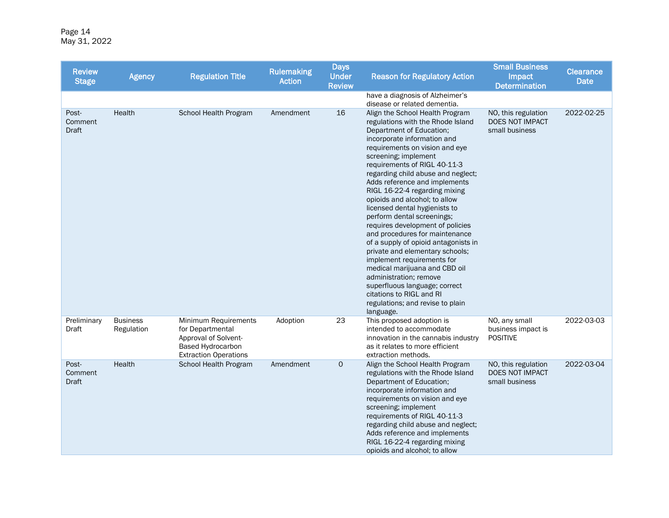Page 14 May 31, 2022

| <b>Review</b><br><b>Stage</b>    | <b>Agency</b>                 | <b>Regulation Title</b>                                                                                               | <b>Rulemaking</b><br><b>Action</b> | <b>Days</b><br><b>Under</b><br><b>Review</b> | <b>Reason for Regulatory Action</b>                                                                                                                                                                                                                                                                                                                                                                                                                                                                                                                                                                                                                                                                                                                                                       | <b>Small Business</b><br>Impact<br><b>Determination</b>         | <b>Clearance</b><br><b>Date</b> |
|----------------------------------|-------------------------------|-----------------------------------------------------------------------------------------------------------------------|------------------------------------|----------------------------------------------|-------------------------------------------------------------------------------------------------------------------------------------------------------------------------------------------------------------------------------------------------------------------------------------------------------------------------------------------------------------------------------------------------------------------------------------------------------------------------------------------------------------------------------------------------------------------------------------------------------------------------------------------------------------------------------------------------------------------------------------------------------------------------------------------|-----------------------------------------------------------------|---------------------------------|
|                                  |                               |                                                                                                                       |                                    |                                              | have a diagnosis of Alzheimer's<br>disease or related dementia.                                                                                                                                                                                                                                                                                                                                                                                                                                                                                                                                                                                                                                                                                                                           |                                                                 |                                 |
| Post-<br>Comment<br><b>Draft</b> | Health                        | School Health Program                                                                                                 | Amendment                          | 16                                           | Align the School Health Program<br>regulations with the Rhode Island<br>Department of Education;<br>incorporate information and<br>requirements on vision and eye<br>screening; implement<br>requirements of RIGL 40-11-3<br>regarding child abuse and neglect;<br>Adds reference and implements<br>RIGL 16-22-4 regarding mixing<br>opioids and alcohol; to allow<br>licensed dental hygienists to<br>perform dental screenings;<br>requires development of policies<br>and procedures for maintenance<br>of a supply of opioid antagonists in<br>private and elementary schools;<br>implement requirements for<br>medical marijuana and CBD oil<br>administration; remove<br>superfluous language; correct<br>citations to RIGL and RI<br>regulations; and revise to plain<br>language. | NO, this regulation<br><b>DOES NOT IMPACT</b><br>small business | 2022-02-25                      |
| Preliminary<br>Draft             | <b>Business</b><br>Regulation | Minimum Requirements<br>for Departmental<br>Approval of Solvent-<br>Based Hydrocarbon<br><b>Extraction Operations</b> | Adoption                           | 23                                           | This proposed adoption is<br>intended to accommodate<br>innovation in the cannabis industry<br>as it relates to more efficient<br>extraction methods.                                                                                                                                                                                                                                                                                                                                                                                                                                                                                                                                                                                                                                     | NO, any small<br>business impact is<br><b>POSITIVE</b>          | 2022-03-03                      |
| Post-<br>Comment<br>Draft        | Health                        | School Health Program                                                                                                 | Amendment                          | $\mathbf 0$                                  | Align the School Health Program<br>regulations with the Rhode Island<br>Department of Education;<br>incorporate information and<br>requirements on vision and eye<br>screening; implement<br>requirements of RIGL 40-11-3<br>regarding child abuse and neglect;<br>Adds reference and implements<br>RIGL 16-22-4 regarding mixing<br>opioids and alcohol; to allow                                                                                                                                                                                                                                                                                                                                                                                                                        | NO, this regulation<br>DOES NOT IMPACT<br>small business        | 2022-03-04                      |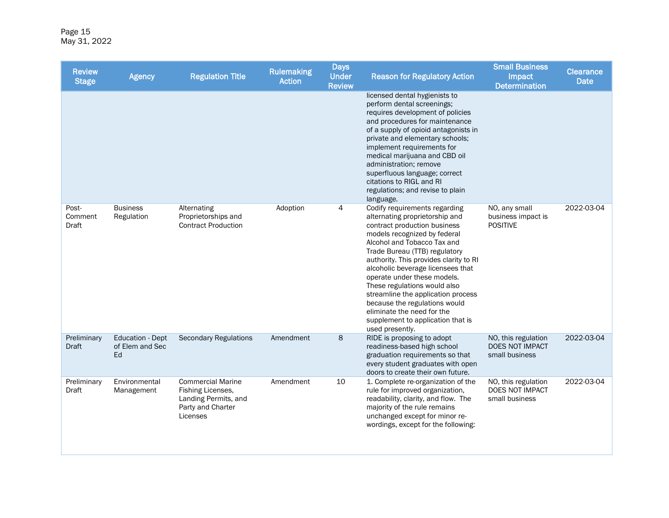Page 15 May 31, 2022

| <b>Review</b><br><b>Stage</b> | <b>Agency</b>                                    | <b>Regulation Title</b>                                                                                | <b>Rulemaking</b><br><b>Action</b> | <b>Days</b><br><b>Under</b><br><b>Review</b> | <b>Reason for Regulatory Action</b>                                                                                                                                                                                                                                                                                                                                                                                                                                                                        | <b>Small Business</b><br>Impact<br><b>Determination</b>         | <b>Clearance</b><br><b>Date</b> |
|-------------------------------|--------------------------------------------------|--------------------------------------------------------------------------------------------------------|------------------------------------|----------------------------------------------|------------------------------------------------------------------------------------------------------------------------------------------------------------------------------------------------------------------------------------------------------------------------------------------------------------------------------------------------------------------------------------------------------------------------------------------------------------------------------------------------------------|-----------------------------------------------------------------|---------------------------------|
|                               |                                                  |                                                                                                        |                                    |                                              | licensed dental hygienists to<br>perform dental screenings;<br>requires development of policies<br>and procedures for maintenance<br>of a supply of opioid antagonists in<br>private and elementary schools;<br>implement requirements for<br>medical marijuana and CBD oil<br>administration; remove<br>superfluous language; correct<br>citations to RIGL and RI<br>regulations; and revise to plain<br>language.                                                                                        |                                                                 |                                 |
| Post-<br>Comment<br>Draft     | <b>Business</b><br>Regulation                    | Alternating<br>Proprietorships and<br><b>Contract Production</b>                                       | Adoption                           | 4                                            | Codify requirements regarding<br>alternating proprietorship and<br>contract production business<br>models recognized by federal<br>Alcohol and Tobacco Tax and<br>Trade Bureau (TTB) regulatory<br>authority. This provides clarity to RI<br>alcoholic beverage licensees that<br>operate under these models.<br>These regulations would also<br>streamline the application process<br>because the regulations would<br>eliminate the need for the<br>supplement to application that is<br>used presently. | NO, any small<br>business impact is<br><b>POSITIVE</b>          | 2022-03-04                      |
| Preliminary<br>Draft          | <b>Education - Dept</b><br>of Elem and Sec<br>Ed | <b>Secondary Regulations</b>                                                                           | Amendment                          | 8                                            | RIDE is proposing to adopt<br>readiness-based high school<br>graduation requirements so that<br>every student graduates with open<br>doors to create their own future.                                                                                                                                                                                                                                                                                                                                     | NO, this regulation<br><b>DOES NOT IMPACT</b><br>small business | 2022-03-04                      |
| Preliminary<br>Draft          | Environmental<br>Management                      | <b>Commercial Marine</b><br>Fishing Licenses,<br>Landing Permits, and<br>Party and Charter<br>Licenses | Amendment                          | 10                                           | 1. Complete re-organization of the<br>rule for improved organization,<br>readability, clarity, and flow. The<br>majority of the rule remains<br>unchanged except for minor re-<br>wordings, except for the following:                                                                                                                                                                                                                                                                                      | NO, this regulation<br>DOES NOT IMPACT<br>small business        | 2022-03-04                      |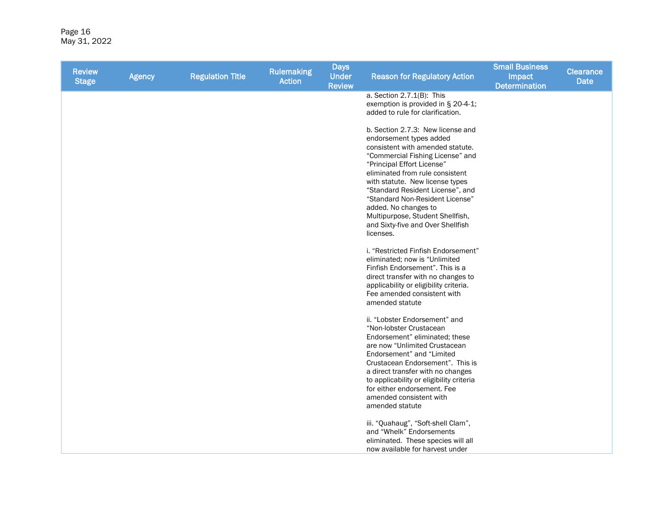Page 16 May 31, 2022

| <b>Review</b><br><b>Stage</b> | <b>Agency</b> | <b>Regulation Title</b> | <b>Rulemaking</b><br><b>Action</b> | <b>Days</b><br><b>Under</b><br><b>Review</b> | <b>Reason for Regulatory Action</b>                                                                                                                                                                                                                                                                                                                                                                                           | <b>Small Business</b><br>Impact<br><b>Determination</b> | <b>Clearance</b><br><b>Date</b> |
|-------------------------------|---------------|-------------------------|------------------------------------|----------------------------------------------|-------------------------------------------------------------------------------------------------------------------------------------------------------------------------------------------------------------------------------------------------------------------------------------------------------------------------------------------------------------------------------------------------------------------------------|---------------------------------------------------------|---------------------------------|
|                               |               |                         |                                    |                                              | a. Section 2.7.1(B): This<br>exemption is provided in § 20-4-1;<br>added to rule for clarification.                                                                                                                                                                                                                                                                                                                           |                                                         |                                 |
|                               |               |                         |                                    |                                              | b. Section 2.7.3: New license and<br>endorsement types added<br>consistent with amended statute.<br>"Commercial Fishing License" and<br>"Principal Effort License"<br>eliminated from rule consistent<br>with statute. New license types<br>"Standard Resident License", and<br>"Standard Non-Resident License"<br>added. No changes to<br>Multipurpose, Student Shellfish,<br>and Sixty-five and Over Shellfish<br>licenses. |                                                         |                                 |
|                               |               |                         |                                    |                                              | i. "Restricted Finfish Endorsement"<br>eliminated; now is "Unlimited<br>Finfish Endorsement". This is a<br>direct transfer with no changes to<br>applicability or eligibility criteria.<br>Fee amended consistent with<br>amended statute                                                                                                                                                                                     |                                                         |                                 |
|                               |               |                         |                                    |                                              | ii. "Lobster Endorsement" and<br>"Non-lobster Crustacean<br>Endorsement" eliminated; these<br>are now "Unlimited Crustacean<br>Endorsement" and "Limited<br>Crustacean Endorsement". This is<br>a direct transfer with no changes<br>to applicability or eligibility criteria<br>for either endorsement. Fee<br>amended consistent with<br>amended statute                                                                    |                                                         |                                 |
|                               |               |                         |                                    |                                              | iii. "Quahaug", "Soft-shell Clam",<br>and "Whelk" Endorsements<br>eliminated. These species will all<br>now available for harvest under                                                                                                                                                                                                                                                                                       |                                                         |                                 |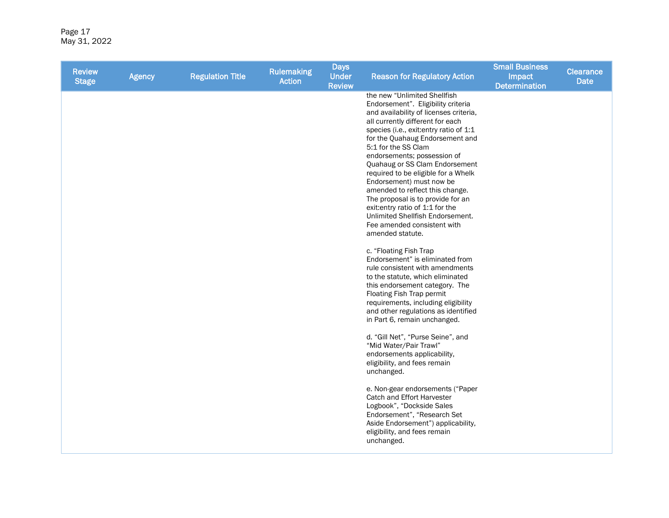Page 17 May 31, 2022

| <b>Review</b><br><b>Stage</b> | <b>Agency</b> | <b>Regulation Title</b> | <b>Rulemaking</b><br><b>Action</b> | <b>Days</b><br><b>Under</b><br><b>Review</b> | <b>Reason for Regulatory Action</b>                                                                                                                                                                                                                                                                                                                                                                                                                                                                                                                                                                                                                                                                                                                                                                                                                                                                                                                                                                                                                                                           | <b>Small Business</b><br>Impact<br><b>Determination</b> | <b>Clearance</b><br><b>Date</b> |
|-------------------------------|---------------|-------------------------|------------------------------------|----------------------------------------------|-----------------------------------------------------------------------------------------------------------------------------------------------------------------------------------------------------------------------------------------------------------------------------------------------------------------------------------------------------------------------------------------------------------------------------------------------------------------------------------------------------------------------------------------------------------------------------------------------------------------------------------------------------------------------------------------------------------------------------------------------------------------------------------------------------------------------------------------------------------------------------------------------------------------------------------------------------------------------------------------------------------------------------------------------------------------------------------------------|---------------------------------------------------------|---------------------------------|
|                               |               |                         |                                    |                                              | the new "Unlimited Shellfish<br>Endorsement". Eligibility criteria<br>and availability of licenses criteria,<br>all currently different for each<br>species (i.e., exit: entry ratio of 1:1<br>for the Quahaug Endorsement and<br>5:1 for the SS Clam<br>endorsements; possession of<br>Quahaug or SS Clam Endorsement<br>required to be eligible for a Whelk<br>Endorsement) must now be<br>amended to reflect this change.<br>The proposal is to provide for an<br>exit: entry ratio of 1:1 for the<br>Unlimited Shellfish Endorsement.<br>Fee amended consistent with<br>amended statute.<br>c. "Floating Fish Trap<br>Endorsement" is eliminated from<br>rule consistent with amendments<br>to the statute, which eliminated<br>this endorsement category. The<br>Floating Fish Trap permit<br>requirements, including eligibility<br>and other regulations as identified<br>in Part 6, remain unchanged.<br>d. "Gill Net", "Purse Seine", and<br>"Mid Water/Pair Trawl"<br>endorsements applicability,<br>eligibility, and fees remain<br>unchanged.<br>e. Non-gear endorsements ("Paper |                                                         |                                 |
|                               |               |                         |                                    |                                              | Catch and Effort Harvester<br>Logbook", "Dockside Sales<br>Endorsement", "Research Set<br>Aside Endorsement") applicability,<br>eligibility, and fees remain<br>unchanged.                                                                                                                                                                                                                                                                                                                                                                                                                                                                                                                                                                                                                                                                                                                                                                                                                                                                                                                    |                                                         |                                 |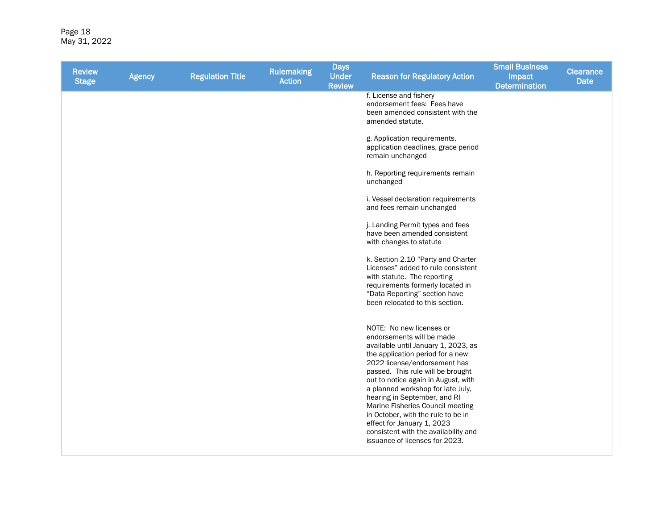Page 18 May 31, 2022

| <b>Review</b><br><b>Stage</b> | <b>Agency</b> | <b>Regulation Title</b> | <b>Rulemaking</b><br><b>Action</b> | <b>Days</b><br><b>Under</b><br><b>Review</b> | <b>Reason for Regulatory Action</b>                                                                                                                                                                                                                                                                                                                                                                                                                                                                 | <b>Small Business</b><br>Impact<br><b>Determination</b> | <b>Clearance</b><br><b>Date</b> |
|-------------------------------|---------------|-------------------------|------------------------------------|----------------------------------------------|-----------------------------------------------------------------------------------------------------------------------------------------------------------------------------------------------------------------------------------------------------------------------------------------------------------------------------------------------------------------------------------------------------------------------------------------------------------------------------------------------------|---------------------------------------------------------|---------------------------------|
|                               |               |                         |                                    |                                              | f. License and fishery<br>endorsement fees: Fees have<br>been amended consistent with the<br>amended statute.                                                                                                                                                                                                                                                                                                                                                                                       |                                                         |                                 |
|                               |               |                         |                                    |                                              | g. Application requirements,<br>application deadlines, grace period<br>remain unchanged                                                                                                                                                                                                                                                                                                                                                                                                             |                                                         |                                 |
|                               |               |                         |                                    |                                              | h. Reporting requirements remain<br>unchanged                                                                                                                                                                                                                                                                                                                                                                                                                                                       |                                                         |                                 |
|                               |               |                         |                                    |                                              | i. Vessel declaration requirements<br>and fees remain unchanged                                                                                                                                                                                                                                                                                                                                                                                                                                     |                                                         |                                 |
|                               |               |                         |                                    |                                              | j. Landing Permit types and fees<br>have been amended consistent<br>with changes to statute                                                                                                                                                                                                                                                                                                                                                                                                         |                                                         |                                 |
|                               |               |                         |                                    |                                              | k. Section 2.10 "Party and Charter<br>Licenses" added to rule consistent<br>with statute. The reporting<br>requirements formerly located in<br>"Data Reporting" section have<br>been relocated to this section.                                                                                                                                                                                                                                                                                     |                                                         |                                 |
|                               |               |                         |                                    |                                              | NOTE: No new licenses or<br>endorsements will be made<br>available until January 1, 2023, as<br>the application period for a new<br>2022 license/endorsement has<br>passed. This rule will be brought<br>out to notice again in August, with<br>a planned workshop for late July,<br>hearing in September, and RI<br>Marine Fisheries Council meeting<br>in October, with the rule to be in<br>effect for January 1, 2023<br>consistent with the availability and<br>issuance of licenses for 2023. |                                                         |                                 |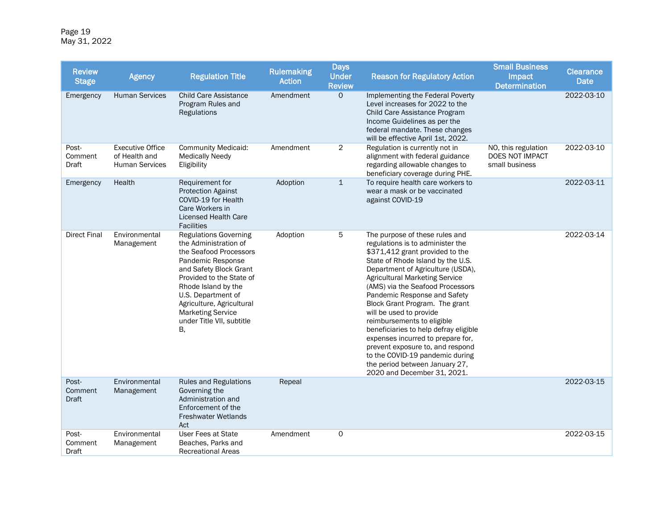Page 19 May 31, 2022

| <b>Review</b><br><b>Stage</b> | <b>Agency</b>                                                     | <b>Regulation Title</b>                                                                                                                                                                                                                                                                             | <b>Rulemaking</b><br><b>Action</b> | <b>Days</b><br><b>Under</b><br><b>Review</b> | <b>Reason for Regulatory Action</b>                                                                                                                                                                                                                                                                                                                                                                                                                                                                                                                                                                           | <b>Small Business</b><br>Impact<br><b>Determination</b>  | <b>Clearance</b><br>Date |
|-------------------------------|-------------------------------------------------------------------|-----------------------------------------------------------------------------------------------------------------------------------------------------------------------------------------------------------------------------------------------------------------------------------------------------|------------------------------------|----------------------------------------------|---------------------------------------------------------------------------------------------------------------------------------------------------------------------------------------------------------------------------------------------------------------------------------------------------------------------------------------------------------------------------------------------------------------------------------------------------------------------------------------------------------------------------------------------------------------------------------------------------------------|----------------------------------------------------------|--------------------------|
| Emergency                     | <b>Human Services</b>                                             | <b>Child Care Assistance</b><br>Program Rules and<br><b>Regulations</b>                                                                                                                                                                                                                             | Amendment                          | $\mathsf{O}$                                 | Implementing the Federal Poverty<br>Level increases for 2022 to the<br>Child Care Assistance Program<br>Income Guidelines as per the<br>federal mandate. These changes<br>will be effective April 1st, 2022.                                                                                                                                                                                                                                                                                                                                                                                                  |                                                          | 2022-03-10               |
| Post-<br>Comment<br>Draft     | <b>Executive Office</b><br>of Health and<br><b>Human Services</b> | <b>Community Medicaid:</b><br><b>Medically Needy</b><br>Eligibility                                                                                                                                                                                                                                 | Amendment                          | $\overline{2}$                               | Regulation is currently not in<br>alignment with federal guidance<br>regarding allowable changes to<br>beneficiary coverage during PHE.                                                                                                                                                                                                                                                                                                                                                                                                                                                                       | NO, this regulation<br>DOES NOT IMPACT<br>small business | 2022-03-10               |
| Emergency                     | Health                                                            | Requirement for<br><b>Protection Against</b><br>COVID-19 for Health<br>Care Workers in<br><b>Licensed Health Care</b><br><b>Facilities</b>                                                                                                                                                          | Adoption                           | $\mathbf{1}$                                 | To require health care workers to<br>wear a mask or be vaccinated<br>against COVID-19                                                                                                                                                                                                                                                                                                                                                                                                                                                                                                                         |                                                          | 2022-03-11               |
| <b>Direct Final</b>           | Environmental<br>Management                                       | <b>Regulations Governing</b><br>the Administration of<br>the Seafood Processors<br>Pandemic Response<br>and Safety Block Grant<br>Provided to the State of<br>Rhode Island by the<br>U.S. Department of<br>Agriculture, Agricultural<br><b>Marketing Service</b><br>under Title VII, subtitle<br>В. | Adoption                           | 5                                            | The purpose of these rules and<br>regulations is to administer the<br>\$371,412 grant provided to the<br>State of Rhode Island by the U.S.<br>Department of Agriculture (USDA),<br><b>Agricultural Marketing Service</b><br>(AMS) via the Seafood Processors<br>Pandemic Response and Safety<br>Block Grant Program. The grant<br>will be used to provide<br>reimbursements to eligible<br>beneficiaries to help defray eligible<br>expenses incurred to prepare for,<br>prevent exposure to, and respond<br>to the COVID-19 pandemic during<br>the period between January 27,<br>2020 and December 31, 2021. |                                                          | 2022-03-14               |
| Post-<br>Comment<br>Draft     | Environmental<br>Management                                       | <b>Rules and Regulations</b><br>Governing the<br>Administration and<br>Enforcement of the<br>Freshwater Wetlands<br>Act                                                                                                                                                                             | Repeal                             |                                              |                                                                                                                                                                                                                                                                                                                                                                                                                                                                                                                                                                                                               |                                                          | 2022-03-15               |
| Post-<br>Comment<br>Draft     | Environmental<br>Management                                       | User Fees at State<br>Beaches, Parks and<br><b>Recreational Areas</b>                                                                                                                                                                                                                               | Amendment                          | 0                                            |                                                                                                                                                                                                                                                                                                                                                                                                                                                                                                                                                                                                               |                                                          | 2022-03-15               |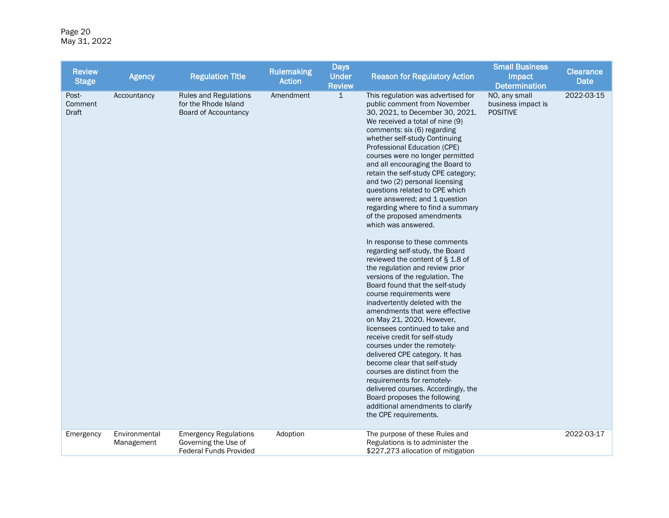Page 20 May 31, 2022

| <b>Review</b><br><b>Stage</b> | <b>Agency</b>               | <b>Regulation Title</b>                                                               | <b>Rulemaking</b><br><b>Action</b> | <b>Days</b><br><b>Under</b><br><b>Review</b> | <b>Reason for Regulatory Action</b>                                                                                                                                                                                                                                                                                                                                                                                                                                                                                                                                                                                                                                                                                                                                                                                                                                                                                                                                                                                                                                                                                                                                                                                                                                          | <b>Small Business</b><br>Impact<br><b>Determination</b> | <b>Clearance</b><br><b>Date</b> |
|-------------------------------|-----------------------------|---------------------------------------------------------------------------------------|------------------------------------|----------------------------------------------|------------------------------------------------------------------------------------------------------------------------------------------------------------------------------------------------------------------------------------------------------------------------------------------------------------------------------------------------------------------------------------------------------------------------------------------------------------------------------------------------------------------------------------------------------------------------------------------------------------------------------------------------------------------------------------------------------------------------------------------------------------------------------------------------------------------------------------------------------------------------------------------------------------------------------------------------------------------------------------------------------------------------------------------------------------------------------------------------------------------------------------------------------------------------------------------------------------------------------------------------------------------------------|---------------------------------------------------------|---------------------------------|
| Post-<br>Comment<br>Draft     | Accountancy                 | <b>Rules and Regulations</b><br>for the Rhode Island<br>Board of Accountancy          | Amendment                          | $\overline{1}$                               | This regulation was advertised for<br>public comment from November<br>30, 2021, to December 30, 2021.<br>We received a total of nine (9)<br>comments: six (6) regarding<br>whether self-study Continuing<br>Professional Education (CPE)<br>courses were no longer permitted<br>and all encouraging the Board to<br>retain the self-study CPE category;<br>and two (2) personal licensing<br>questions related to CPE which<br>were answered; and 1 question<br>regarding where to find a summary<br>of the proposed amendments<br>which was answered.<br>In response to these comments<br>regarding self-study, the Board<br>reviewed the content of § 1.8 of<br>the regulation and review prior<br>versions of the regulation. The<br>Board found that the self-study<br>course requirements were<br>inadvertently deleted with the<br>amendments that were effective<br>on May 21, 2020. However,<br>licensees continued to take and<br>receive credit for self-study<br>courses under the remotely-<br>delivered CPE category. It has<br>become clear that self-study<br>courses are distinct from the<br>requirements for remotely-<br>delivered courses. Accordingly, the<br>Board proposes the following<br>additional amendments to clarify<br>the CPE requirements. | NO, any small<br>business impact is<br><b>POSITIVE</b>  | 2022-03-15                      |
| Emergency                     | Environmental<br>Management | <b>Emergency Regulations</b><br>Governing the Use of<br><b>Federal Funds Provided</b> | Adoption                           |                                              | The purpose of these Rules and<br>Regulations is to administer the<br>\$227,273 allocation of mitigation                                                                                                                                                                                                                                                                                                                                                                                                                                                                                                                                                                                                                                                                                                                                                                                                                                                                                                                                                                                                                                                                                                                                                                     |                                                         | 2022-03-17                      |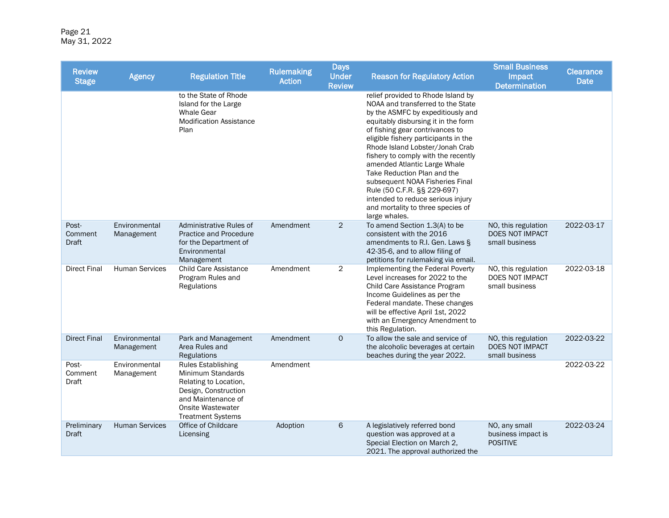Page 21 May 31, 2022

| <b>Review</b><br><b>Stage</b>    | <b>Agency</b>               | <b>Regulation Title</b>                                                                                                                                                       | <b>Rulemaking</b><br><b>Action</b> | <b>Days</b><br><b>Under</b><br><b>Review</b> | <b>Reason for Regulatory Action</b>                                                                                                                                                                                                                                                                                                                                                                                                                                                                                                  | <b>Small Business</b><br>Impact<br><b>Determination</b>  | <b>Clearance</b><br><b>Date</b> |
|----------------------------------|-----------------------------|-------------------------------------------------------------------------------------------------------------------------------------------------------------------------------|------------------------------------|----------------------------------------------|--------------------------------------------------------------------------------------------------------------------------------------------------------------------------------------------------------------------------------------------------------------------------------------------------------------------------------------------------------------------------------------------------------------------------------------------------------------------------------------------------------------------------------------|----------------------------------------------------------|---------------------------------|
|                                  |                             | to the State of Rhode<br>Island for the Large<br><b>Whale Gear</b><br><b>Modification Assistance</b><br>Plan                                                                  |                                    |                                              | relief provided to Rhode Island by<br>NOAA and transferred to the State<br>by the ASMFC by expeditiously and<br>equitably disbursing it in the form<br>of fishing gear contrivances to<br>eligible fishery participants in the<br>Rhode Island Lobster/Jonah Crab<br>fishery to comply with the recently<br>amended Atlantic Large Whale<br>Take Reduction Plan and the<br>subsequent NOAA Fisheries Final<br>Rule (50 C.F.R. §§ 229-697)<br>intended to reduce serious injury<br>and mortality to three species of<br>large whales. |                                                          |                                 |
| Post-<br>Comment<br><b>Draft</b> | Environmental<br>Management | Administrative Rules of<br><b>Practice and Procedure</b><br>for the Department of<br>Environmental<br>Management                                                              | Amendment                          | $\overline{c}$                               | To amend Section 1.3(A) to be<br>consistent with the 2016<br>amendments to R.I. Gen. Laws §<br>42-35-6, and to allow filing of<br>petitions for rulemaking via email.                                                                                                                                                                                                                                                                                                                                                                | NO, this regulation<br>DOES NOT IMPACT<br>small business | 2022-03-17                      |
| <b>Direct Final</b>              | <b>Human Services</b>       | <b>Child Care Assistance</b><br>Program Rules and<br>Regulations                                                                                                              | Amendment                          | 2                                            | Implementing the Federal Poverty<br>Level increases for 2022 to the<br>Child Care Assistance Program<br>Income Guidelines as per the<br>Federal mandate. These changes<br>will be effective April 1st, 2022<br>with an Emergency Amendment to<br>this Regulation.                                                                                                                                                                                                                                                                    | NO, this regulation<br>DOES NOT IMPACT<br>small business | 2022-03-18                      |
| <b>Direct Final</b>              | Environmental<br>Management | Park and Management<br>Area Rules and<br>Regulations                                                                                                                          | Amendment                          | $\mathsf{O}$                                 | To allow the sale and service of<br>the alcoholic beverages at certain<br>beaches during the year 2022.                                                                                                                                                                                                                                                                                                                                                                                                                              | NO, this regulation<br>DOES NOT IMPACT<br>small business | 2022-03-22                      |
| Post-<br>Comment<br>Draft        | Environmental<br>Management | <b>Rules Establishing</b><br>Minimum Standards<br>Relating to Location,<br>Design, Construction<br>and Maintenance of<br><b>Onsite Wastewater</b><br><b>Treatment Systems</b> | Amendment                          |                                              |                                                                                                                                                                                                                                                                                                                                                                                                                                                                                                                                      |                                                          | 2022-03-22                      |
| Preliminary<br><b>Draft</b>      | <b>Human Services</b>       | Office of Childcare<br>Licensing                                                                                                                                              | Adoption                           | 6                                            | A legislatively referred bond<br>question was approved at a<br>Special Election on March 2,<br>2021. The approval authorized the                                                                                                                                                                                                                                                                                                                                                                                                     | NO, any small<br>business impact is<br><b>POSITIVE</b>   | 2022-03-24                      |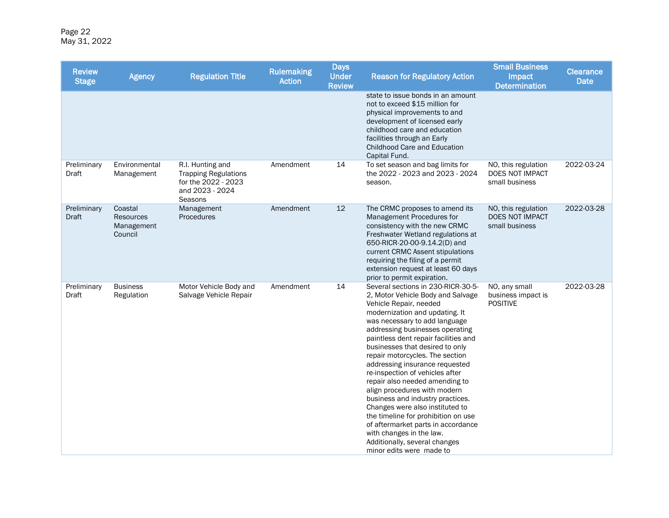Page 22 May 31, 2022

| <b>Review</b><br><b>Stage</b> | <b>Agency</b>                                        | <b>Regulation Title</b>                                                                              | <b>Rulemaking</b><br><b>Action</b> | <b>Days</b><br><b>Under</b><br><b>Review</b> | <b>Reason for Regulatory Action</b>                                                                                                                                                                                                                                                                                                                                                                                                                                                                                                                                                                                                                                                                       | <b>Small Business</b><br>Impact<br><b>Determination</b>         | <b>Clearance</b><br><b>Date</b> |
|-------------------------------|------------------------------------------------------|------------------------------------------------------------------------------------------------------|------------------------------------|----------------------------------------------|-----------------------------------------------------------------------------------------------------------------------------------------------------------------------------------------------------------------------------------------------------------------------------------------------------------------------------------------------------------------------------------------------------------------------------------------------------------------------------------------------------------------------------------------------------------------------------------------------------------------------------------------------------------------------------------------------------------|-----------------------------------------------------------------|---------------------------------|
|                               |                                                      |                                                                                                      |                                    |                                              | state to issue bonds in an amount<br>not to exceed \$15 million for<br>physical improvements to and<br>development of licensed early<br>childhood care and education<br>facilities through an Early<br>Childhood Care and Education<br>Capital Fund.                                                                                                                                                                                                                                                                                                                                                                                                                                                      |                                                                 |                                 |
| Preliminary<br>Draft          | Environmental<br>Management                          | R.I. Hunting and<br><b>Trapping Regulations</b><br>for the 2022 - 2023<br>and 2023 - 2024<br>Seasons | Amendment                          | 14                                           | To set season and bag limits for<br>the 2022 - 2023 and 2023 - 2024<br>season.                                                                                                                                                                                                                                                                                                                                                                                                                                                                                                                                                                                                                            | NO, this regulation<br>DOES NOT IMPACT<br>small business        | 2022-03-24                      |
| Preliminary<br><b>Draft</b>   | Coastal<br><b>Resources</b><br>Management<br>Council | Management<br>Procedures                                                                             | Amendment                          | 12                                           | The CRMC proposes to amend its<br>Management Procedures for<br>consistency with the new CRMC<br>Freshwater Wetland regulations at<br>650-RICR-20-00-9.14.2(D) and<br>current CRMC Assent stipulations<br>requiring the filing of a permit<br>extension request at least 60 days<br>prior to permit expiration.                                                                                                                                                                                                                                                                                                                                                                                            | NO, this regulation<br><b>DOES NOT IMPACT</b><br>small business | 2022-03-28                      |
| Preliminary<br>Draft          | <b>Business</b><br>Regulation                        | Motor Vehicle Body and<br>Salvage Vehicle Repair                                                     | Amendment                          | 14                                           | Several sections in 230-RICR-30-5-<br>2, Motor Vehicle Body and Salvage<br>Vehicle Repair, needed<br>modernization and updating. It<br>was necessary to add language<br>addressing businesses operating<br>paintless dent repair facilities and<br>businesses that desired to only<br>repair motorcycles. The section<br>addressing insurance requested<br>re-inspection of vehicles after<br>repair also needed amending to<br>align procedures with modern<br>business and industry practices.<br>Changes were also instituted to<br>the timeline for prohibition on use<br>of aftermarket parts in accordance<br>with changes in the law.<br>Additionally, several changes<br>minor edits were made to | NO, any small<br>business impact is<br><b>POSITIVE</b>          | 2022-03-28                      |